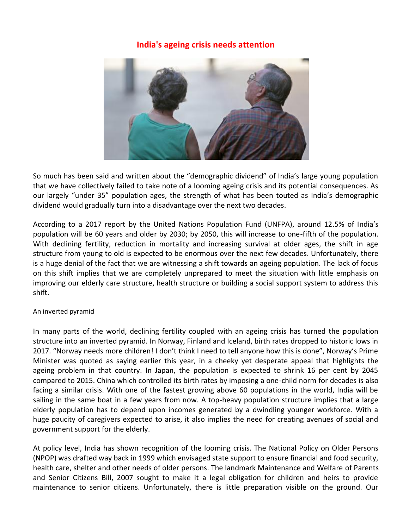## **India's ageing crisis needs attention**



So much has been said and written about the "demographic dividend" of India's large young population that we have collectively failed to take note of a looming ageing crisis and its potential consequences. As our largely "under 35" population ages, the strength of what has been touted as India's demographic dividend would gradually turn into a disadvantage over the next two decades.

According to a 2017 report by the United Nations Population Fund (UNFPA), around 12.5% of India's population will be 60 years and older by 2030; by 2050, this will increase to one-fifth of the population. With declining fertility, reduction in mortality and increasing survival at older ages, the shift in age structure from young to old is expected to be enormous over the next few decades. Unfortunately, there is a huge denial of the fact that we are witnessing a shift towards an ageing population. The lack of focus on this shift implies that we are completely unprepared to meet the situation with little emphasis on improving our elderly care structure, health structure or building a social support system to address this shift.

## An inverted pyramid

In many parts of the world, declining fertility coupled with an ageing crisis has turned the population structure into an inverted pyramid. In Norway, Finland and Iceland, birth rates dropped to historic lows in 2017. "Norway needs more children! I don't think I need to tell anyone how this is done", Norway's Prime Minister was quoted as saying earlier this year, in a cheeky yet desperate appeal that highlights the ageing problem in that country. In Japan, the population is expected to shrink 16 per cent by 2045 compared to 2015. China which controlled its birth rates by imposing a one-child norm for decades is also facing a similar crisis. With one of the fastest growing above 60 populations in the world, India will be sailing in the same boat in a few years from now. A top-heavy population structure implies that a large elderly population has to depend upon incomes generated by a dwindling younger workforce. With a huge paucity of caregivers expected to arise, it also implies the need for creating avenues of social and government support for the elderly.

At policy level, India has shown recognition of the looming crisis. The National Policy on Older Persons (NPOP) was drafted way back in 1999 which envisaged state support to ensure financial and food security, health care, shelter and other needs of older persons. The landmark Maintenance and Welfare of Parents and Senior Citizens Bill, 2007 sought to make it a legal obligation for children and heirs to provide maintenance to senior citizens. Unfortunately, there is little preparation visible on the ground. Our